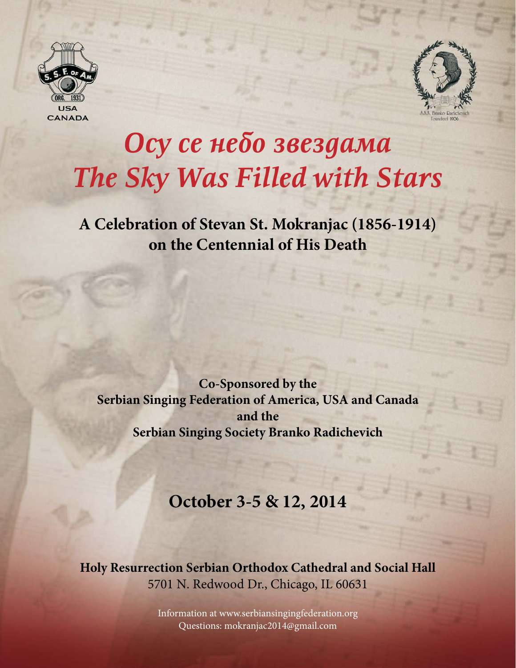



# *Осy се небо звездама The Sky Was Filled with Stars*

**A Celebration of Stevan St. Mokranjac (1856-1914) on the Centennial of His Death**

**Co-Sponsored by the Serbian Singing Federation of America, USA and Canada and the Serbian Singing Society Branko Radichevich**

# **October 3-5 & 12, 2014**

**Holy Resurrection Serbian Orthodox Cathedral and Social Hall** 5701 N. Redwood Dr., Chicago, IL 60631

> Information at www.serbiansingingfederation.org Questions: mokranjac2014@gmail.com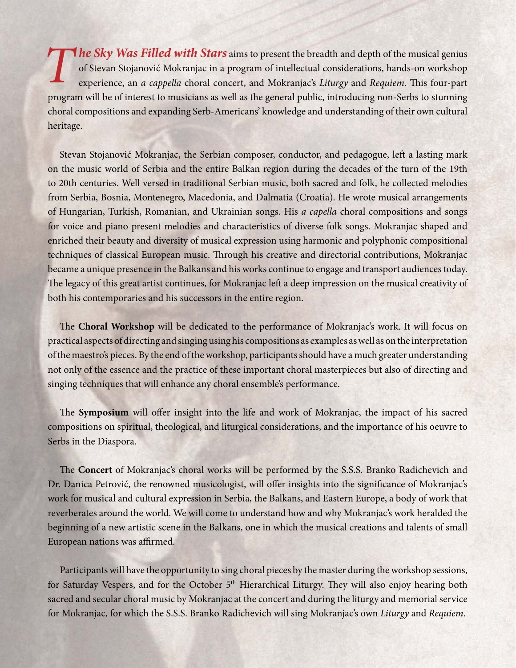*The Sky Was Filled with Stars* aims to present the breadth and depth of the musical genius of Stevan Stojanović Mokranjac in a program of intellectual considerations, hands-on workshop experience, an *a cappella* choral concert, and Mokranjac's *Liturgy* and *Requiem*. This four-part program will be of interest to musicians as well as the general public, introducing non-Serbs to stunning choral compositions and expanding Serb-Americans' knowledge and understanding of their own cultural heritage.

Stevan Stojanović Mokranjac, the Serbian composer, conductor, and pedagogue, left a lasting mark on the music world of Serbia and the entire Balkan region during the decades of the turn of the 19th to 20th centuries. Well versed in traditional Serbian music, both sacred and folk, he collected melodies from Serbia, Bosnia, Montenegro, Macedonia, and Dalmatia (Croatia). He wrote musical arrangements of Hungarian, Turkish, Romanian, and Ukrainian songs. His *a capella* choral compositions and songs for voice and piano present melodies and characteristics of diverse folk songs. Mokranjac shaped and enriched their beauty and diversity of musical expression using harmonic and polyphonic compositional techniques of classical European music. Through his creative and directorial contributions, Mokranjac became a unique presence in the Balkans and his works continue to engage and transport audiences today. The legacy of this great artist continues, for Mokranjac left a deep impression on the musical creativity of both his contemporaries and his successors in the entire region.

The **Choral Workshop** will be dedicated to the performance of Mokranjac's work. It will focus on practical aspects of directing and singing using his compositions as examples as well as on the interpretation of the maestro's pieces. By the end of the workshop, participants should have a much greater understanding not only of the essence and the practice of these important choral masterpieces but also of directing and singing techniques that will enhance any choral ensemble's performance.

The **Symposium** will offer insight into the life and work of Mokranjac, the impact of his sacred compositions on spiritual, theological, and liturgical considerations, and the importance of his oeuvre to Serbs in the Diaspora.

The **Concert** of Mokranjac's choral works will be performed by the S.S.S. Branko Radichevich and Dr. Danica Petrović, the renowned musicologist, will offer insights into the significance of Mokranjac's work for musical and cultural expression in Serbia, the Balkans, and Eastern Europe, a body of work that reverberates around the world. We will come to understand how and why Mokranjac's work heralded the beginning of a new artistic scene in the Balkans, one in which the musical creations and talents of small European nations was affirmed.

Participants will have the opportunity to sing choral pieces by the master during the workshop sessions, for Saturday Vespers, and for the October 5<sup>th</sup> Hierarchical Liturgy. They will also enjoy hearing both sacred and secular choral music by Mokranjac at the concert and during the liturgy and memorial service for Mokranjac, for which the S.S.S. Branko Radichevich will sing Mokranjac's own *Liturgy* and *Requiem*.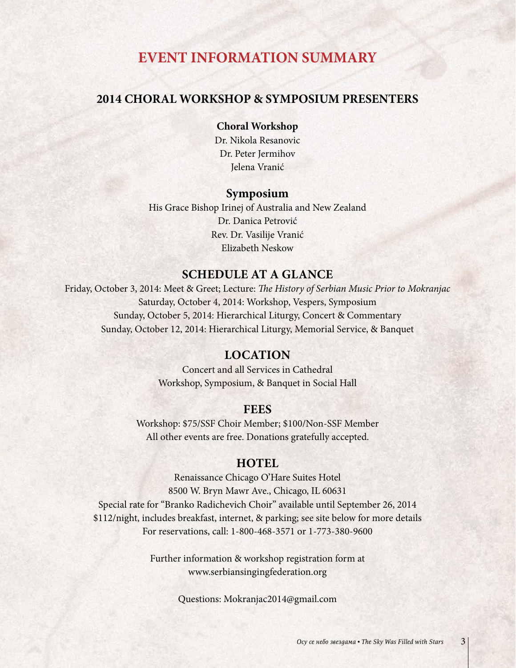# **EVENT INFORMATION SUMMARY**

#### **2014 CHORAL WORKSHOP & SYMPOSIUM PRESENTERS**

**Choral Workshop** Dr. Nikola Resanovic Dr. Peter Jermihov

Jelena Vranić

#### **Symposium**

His Grace Bishop Irinej of Australia and New Zealand Dr. Danica Petrović Rev. Dr. Vasilije Vranić Elizabeth Neskow

#### **Schedule at a Glance**

Friday, October 3, 2014: Meet & Greet; Lecture: *The History of Serbian Music Prior to Mokranjac* Saturday, October 4, 2014: Workshop, Vespers, Symposium Sunday, October 5, 2014: Hierarchical Liturgy, Concert & Commentary Sunday, October 12, 2014: Hierarchical Liturgy, Memorial Service, & Banquet

#### **Location**

Concert and all Services in Cathedral Workshop, Symposium, & Banquet in Social Hall

#### **Fees**

Workshop: \$75/SSF Choir Member; \$100/Non-SSF Member All other events are free. Donations gratefully accepted.

#### **HOTEL**

Renaissance Chicago O'Hare Suites Hotel 8500 W. Bryn Mawr Ave., Chicago, IL 60631 Special rate for "Branko Radichevich Choir" available until September 26, 2014 \$112/night, includes breakfast, internet, & parking; see site below for more details For reservations, call: 1-800-468-3571 or 1-773-380-9600

> Further information & workshop registration form at www.serbiansingingfederation.org

> > Questions: Mokranjac2014@gmail.com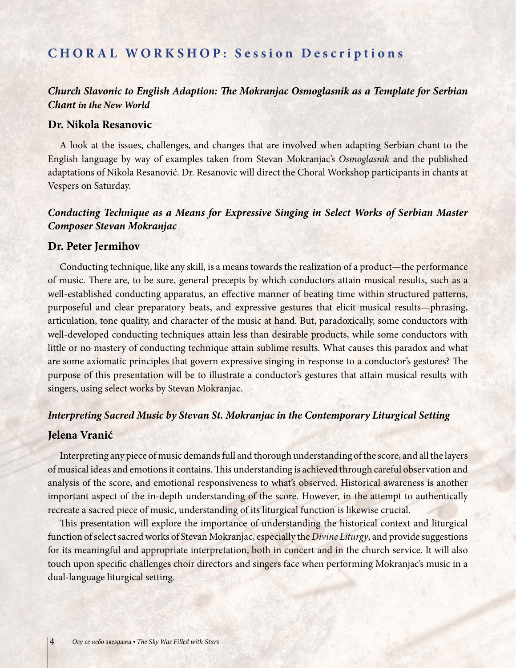## **CHORAL WORKSHOP: Session Descriptions**

#### *Church Slavonic to English Adaption: The Mokranjac Osmoglasnik as a Template for Serbian Chant in the New World*

#### **Dr. Nikola Resanovic**

A look at the issues, challenges, and changes that are involved when adapting Serbian chant to the English language by way of examples taken from Stevan Mokranjac's *Osmoglasnik* and the published adaptations of Nikola Resanović. Dr. Resanovic will direct the Choral Workshop participants in chants at Vespers on Saturday.

#### *Conducting Technique as a Means for Expressive Singing in Select Works of Serbian Master Composer Stevan Mokranjac*

#### **Dr. Peter Jermihov**

Conducting technique, like any skill, is a means towards the realization of a product—the performance of music. There are, to be sure, general precepts by which conductors attain musical results, such as a well-established conducting apparatus, an effective manner of beating time within structured patterns, purposeful and clear preparatory beats, and expressive gestures that elicit musical results—phrasing, articulation, tone quality, and character of the music at hand. But, paradoxically, some conductors with well-developed conducting techniques attain less than desirable products, while some conductors with little or no mastery of conducting technique attain sublime results. What causes this paradox and what are some axiomatic principles that govern expressive singing in response to a conductor's gestures? The purpose of this presentation will be to illustrate a conductor's gestures that attain musical results with singers, using select works by Stevan Mokranjac.

#### *Interpreting Sacred Music by Stevan St. Mokranjac in the Contemporary Liturgical Setting*

#### **Jelena Vranić**

Interpreting any piece of music demands full and thorough understanding of the score, and all the layers of musical ideas and emotions it contains. This understanding is achieved through careful observation and analysis of the score, and emotional responsiveness to what's observed. Historical awareness is another important aspect of the in-depth understanding of the score. However, in the attempt to authentically recreate a sacred piece of music, understanding of its liturgical function is likewise crucial.

This presentation will explore the importance of understanding the historical context and liturgical function of select sacred works of Stevan Mokranjac, especially the *Divine Liturgy*, and provide suggestions for its meaningful and appropriate interpretation, both in concert and in the church service. It will also touch upon specific challenges choir directors and singers face when performing Mokranjac's music in a dual-language liturgical setting.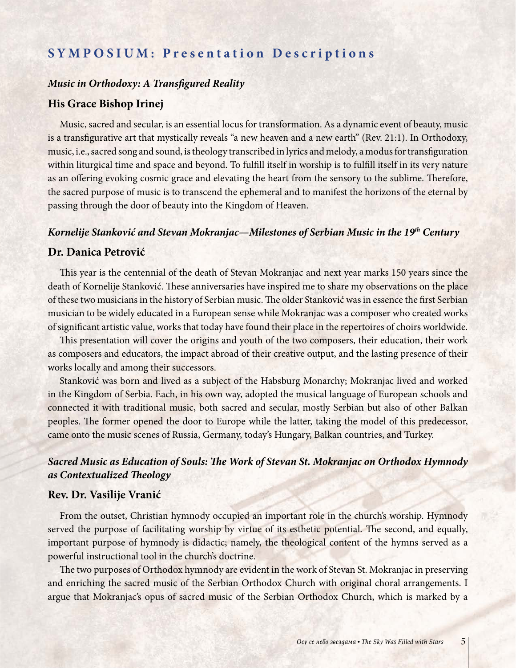## **SYMPOSIUM: Presentation Descriptions**

#### *Music in Orthodoxy: A Transfigured Reality*

#### **His Grace Bishop Irinej**

Music, sacred and secular, is an essential locus for transformation. As a dynamic event of beauty, music is a transfigurative art that mystically reveals "a new heaven and a new earth" (Rev. 21:1). In Orthodoxy, music, i.e., sacred song and sound, is theology transcribed in lyrics and melody, a modus for transfiguration within liturgical time and space and beyond. To fulfill itself in worship is to fulfill itself in its very nature as an offering evoking cosmic grace and elevating the heart from the sensory to the sublime. Therefore, the sacred purpose of music is to transcend the ephemeral and to manifest the horizons of the eternal by passing through the door of beauty into the Kingdom of Heaven.

#### *Kornelije Stanković and Stevan Mokranjac—Milestones of Serbian Music in the 19th Century*

#### **Dr. Danica Petrović**

This year is the centennial of the death of Stevan Mokranjac and next year marks 150 years since the death of Kornelije Stanković. These anniversaries have inspired me to share my observations on the place of these two musicians in the history of Serbian music. The older Stanković was in essence the first Serbian musician to be widely educated in a European sense while Mokranjac was a composer who created works of significant artistic value, works that today have found their place in the repertoires of choirs worldwide.

This presentation will cover the origins and youth of the two composers, their education, their work as composers and educators, the impact abroad of their creative output, and the lasting presence of their works locally and among their successors.

Stanković was born and lived as a subject of the Habsburg Monarchy; Mokranjac lived and worked in the Kingdom of Serbia. Each, in his own way, adopted the musical language of European schools and connected it with traditional music, both sacred and secular, mostly Serbian but also of other Balkan peoples. The former opened the door to Europe while the latter, taking the model of this predecessor, came onto the music scenes of Russia, Germany, today's Hungary, Balkan countries, and Turkey.

#### *Sacred Music as Education of Souls: The Work of Stevan St. Mokranjac on Orthodox Hymnody as Contextualized Theology*

#### **Rev. Dr. Vasilije Vranić**

From the outset, Christian hymnody occupied an important role in the church's worship. Hymnody served the purpose of facilitating worship by virtue of its esthetic potential. The second, and equally, important purpose of hymnody is didactic; namely, the theological content of the hymns served as a powerful instructional tool in the church's doctrine.

The two purposes of Orthodox hymnody are evident in the work of Stevan St. Mokranjac in preserving and enriching the sacred music of the Serbian Orthodox Church with original choral arrangements. I argue that Mokranjac's opus of sacred music of the Serbian Orthodox Church, which is marked by a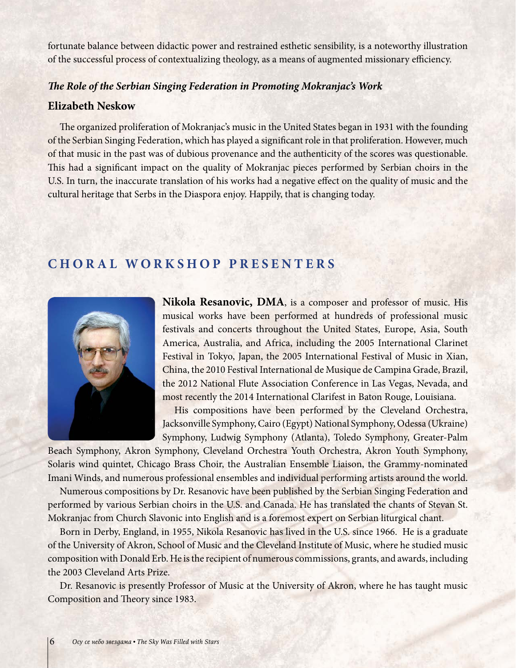fortunate balance between didactic power and restrained esthetic sensibility, is a noteworthy illustration of the successful process of contextualizing theology, as a means of augmented missionary efficiency.

#### *The Role of the Serbian Singing Federation in Promoting Mokranjac's Work*

#### **Elizabeth Neskow**

The organized proliferation of Mokranjac's music in the United States began in 1931 with the founding of the Serbian Singing Federation, which has played a significant role in that proliferation. However, much of that music in the past was of dubious provenance and the authenticity of the scores was questionable. This had a significant impact on the quality of Mokranjac pieces performed by Serbian choirs in the U.S. In turn, the inaccurate translation of his works had a negative effect on the quality of music and the cultural heritage that Serbs in the Diaspora enjoy. Happily, that is changing today.

## **CHORAL WORKSHOP PRESENTERS**



**Nikola Resanovic, DMA**, is a composer and professor of music. His musical works have been performed at hundreds of professional music festivals and concerts throughout the United States, Europe, Asia, South America, Australia, and Africa, including the 2005 International Clarinet Festival in Tokyo, Japan, the 2005 International Festival of Music in Xian, China, the 2010 Festival International de Musique de Campina Grade, Brazil, the 2012 National Flute Association Conference in Las Vegas, Nevada, and most recently the 2014 International Clarifest in Baton Rouge, Louisiana.

His compositions have been performed by the Cleveland Orchestra, Jacksonville Symphony, Cairo (Egypt) National Symphony, Odessa (Ukraine) Symphony, Ludwig Symphony (Atlanta), Toledo Symphony, Greater-Palm

Beach Symphony, Akron Symphony, Cleveland Orchestra Youth Orchestra, Akron Youth Symphony, Solaris wind quintet, Chicago Brass Choir, the Australian Ensemble Liaison, the Grammy-nominated Imani Winds, and numerous professional ensembles and individual performing artists around the world.

Numerous compositions by Dr. Resanovic have been published by the Serbian Singing Federation and performed by various Serbian choirs in the U.S. and Canada. He has translated the chants of Stevan St. Mokranjac from Church Slavonic into English and is a foremost expert on Serbian liturgical chant.

Born in Derby, England, in 1955, Nikola Resanovic has lived in the U.S. since 1966. He is a graduate of the University of Akron, School of Music and the Cleveland Institute of Music, where he studied music composition with Donald Erb. He is the recipient of numerous commissions, grants, and awards, including the 2003 Cleveland Arts Prize.

Dr. Resanovic is presently Professor of Music at the University of Akron, where he has taught music Composition and Theory since 1983.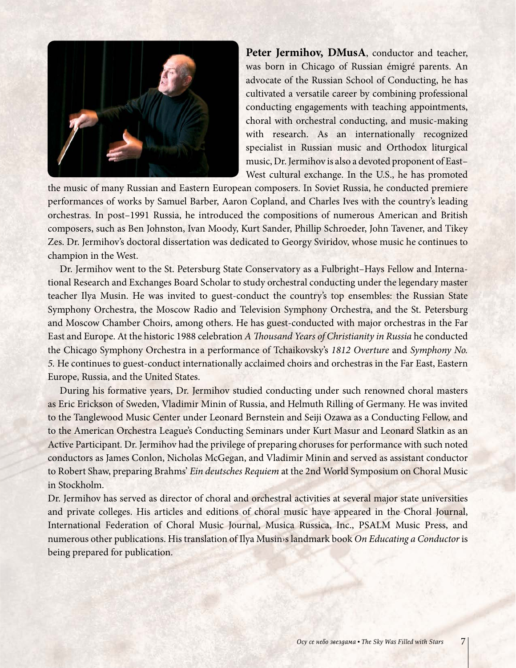

Peter Jermihov, DMusA, conductor and teacher, was born in Chicago of Russian émigré parents. An advocate of the Russian School of Conducting, he has cultivated a versatile career by combining professional conducting engagements with teaching appointments, choral with orchestral conducting, and music-making with research. As an internationally recognized specialist in Russian music and Orthodox liturgical music, Dr. Jermihov is also a devoted proponent of East– West cultural exchange. In the U.S., he has promoted

the music of many Russian and Eastern European composers. In Soviet Russia, he conducted premiere performances of works by Samuel Barber, Aaron Copland, and Charles Ives with the country's leading orchestras. In post–1991 Russia, he introduced the compositions of numerous American and British composers, such as Ben Johnston, Ivan Moody, Kurt Sander, Phillip Schroeder, John Tavener, and Tikey Zes. Dr. Jermihov's doctoral dissertation was dedicated to Georgy Sviridov, whose music he continues to champion in the West.

Dr. Jermihov went to the St. Petersburg State Conservatory as a Fulbright–Hays Fellow and International Research and Exchanges Board Scholar to study orchestral conducting under the legendary master teacher Ilya Musin. He was invited to guest-conduct the country's top ensembles: the Russian State Symphony Orchestra, the Moscow Radio and Television Symphony Orchestra, and the St. Petersburg and Moscow Chamber Choirs, among others. He has guest-conducted with major orchestras in the Far East and Europe. At the historic 1988 celebration *A Thousand Years of Christianity in Russia* he conducted the Chicago Symphony Orchestra in a performance of Tchaikovsky's *1812 Overture* and *Symphony No. 5.* He continues to guest-conduct internationally acclaimed choirs and orchestras in the Far East, Eastern Europe, Russia, and the United States.

During his formative years, Dr. Jermihov studied conducting under such renowned choral masters as Eric Erickson of Sweden, Vladimir Minin of Russia, and Helmuth Rilling of Germany. He was invited to the Tanglewood Music Center under Leonard Bernstein and Seiji Ozawa as a Conducting Fellow, and to the American Orchestra League's Conducting Seminars under Kurt Masur and Leonard Slatkin as an Active Participant. Dr. Jermihov had the privilege of preparing choruses for performance with such noted conductors as James Conlon, Nicholas McGegan, and Vladimir Minin and served as assistant conductor to Robert Shaw, preparing Brahms' *Ein deutsches Requiem* at the 2nd World Symposium on Choral Music in Stockholm.

Dr. Jermihov has served as director of choral and orchestral activities at several major state universities and private colleges. His articles and editions of choral music have appeared in the Choral Journal, International Federation of Choral Music Journal, Musica Russica, Inc., PSALM Music Press, and numerous other publications. His translation of Ilya Musin›s landmark book *On Educating a Conductor* is being prepared for publication.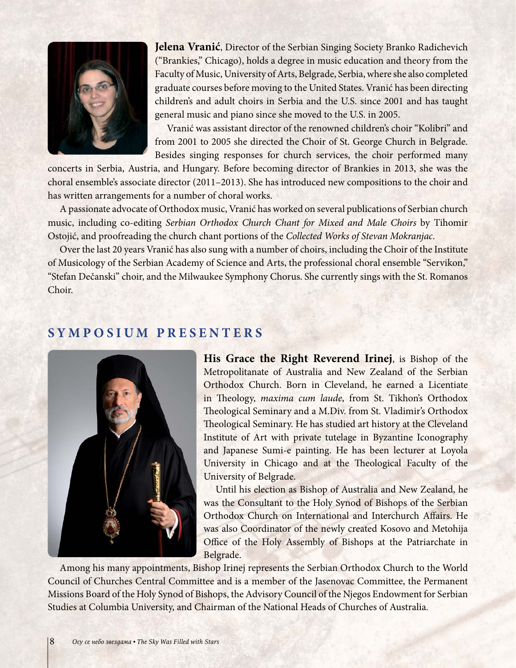

**Jelena Vranić**, Director of the Serbian Singing Society Branko Radichevich ("Brankies," Chicago), holds a degree in music education and theory from the Faculty of Music, University of Arts, Belgrade, Serbia, where she also completed graduate courses before moving to the United States. Vranić has been directing children's and adult choirs in Serbia and the U.S. since 2001 and has taught general music and piano since she moved to the U.S. in 2005.

Vranić was assistant director of the renowned children's choir "Kolibri" and from 2001 to 2005 she directed the Choir of St. George Church in Belgrade. Besides singing responses for church services, the choir performed many

concerts in Serbia, Austria, and Hungary. Before becoming director of Brankies in 2013, she was the choral ensemble's associate director (2011–2013). She has introduced new compositions to the choir and has written arrangements for a number of choral works.

A passionate advocate of Orthodox music, Vranić has worked on several publications of Serbian church music, including co-editing *Serbian Orthodox Church Chant for Mixed and Male Choirs* by Tihomir Ostojić, and proofreading the church chant portions of the *Collected Works of Stevan Mokranjac*.

Over the last 20 years Vranić has also sung with a number of choirs, including the Choir of the Institute of Musicology of the Serbian Academy of Science and Arts, the professional choral ensemble "Servikon," "Stefan Dečanski" choir, and the Milwaukee Symphony Chorus. She currently sings with the St. Romanos Choir.

## **SYMPOSIUM PRESENTERS**



**His Grace the Right Reverend Irinej**, is Bishop of the Metropolitanate of Australia and New Zealand of the Serbian Orthodox Church. Born in Cleveland, he earned a Licentiate in Theology, *maxima cum laude*, from St. Tikhon's Orthodox Theological Seminary and a M.Div. from St. Vladimir's Orthodox Theological Seminary. He has studied art history at the Cleveland Institute of Art with private tutelage in Byzantine Iconography and Japanese Sumi-e painting. He has been lecturer at Loyola University in Chicago and at the Theological Faculty of the University of Belgrade.

Until his election as Bishop of Australia and New Zealand, he was the Consultant to the Holy Synod of Bishops of the Serbian Orthodox Church on International and Interchurch Affairs. He was also Coordinator of the newly created Kosovo and Metohija Office of the Holy Assembly of Bishops at the Patriarchate in Belgrade.

Among his many appointments, Bishop Irinej represents the Serbian Orthodox Church to the World Council of Churches Central Committee and is a member of the Jasenovac Committee, the Permanent Missions Board of the Holy Synod of Bishops, the Advisory Council of the Njegos Endowment for Serbian Studies at Columbia University, and Chairman of the National Heads of Churches of Australia.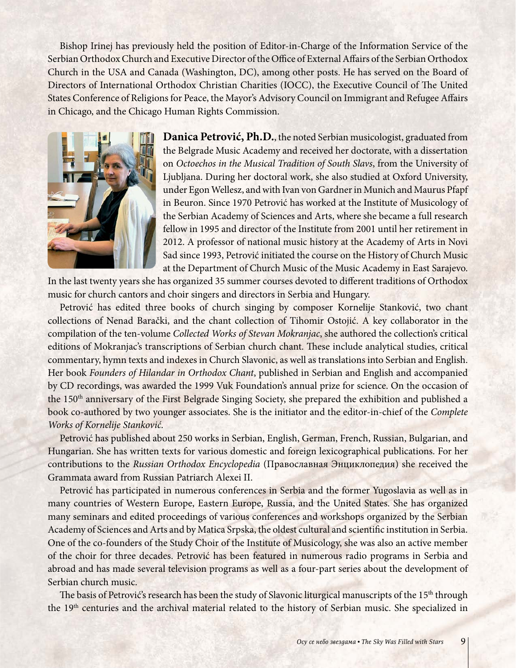Bishop Irinej has previously held the position of Editor-in-Charge of the Information Service of the Serbian Orthodox Church and Executive Director of the Office of External Affairs of the Serbian Orthodox Church in the USA and Canada (Washington, DC), among other posts. He has served on the Board of Directors of International Orthodox Christian Charities (IOCC), the Executive Council of The United States Conference of Religions for Peace, the Mayor's Advisory Council on Immigrant and Refugee Affairs in Chicago, and the Chicago Human Rights Commission.



**Danica Petrović, Ph.D.**, the noted Serbian musicologist, graduated from the Belgrade Music Academy and received her doctorate, with a dissertation on *Octoechos in the Musical Tradition of South Slavs*, from the University of Ljubljana. During her doctoral work, she also studied at Oxford University, under Egon Wellesz, and with Ivan von Gardner in Munich and Maurus Pfapf in Beuron. Since 1970 Petrović has worked at the Institute of Musicology of the Serbian Academy of Sciences and Arts, where she became a full research fellow in 1995 and director of the Institute from 2001 until her retirement in 2012. A professor of national music history at the Academy of Arts in Novi Sad since 1993, Petrović initiated the course on the History of Church Music at the Department of Church Music of the Music Academy in East Sarajevo.

In the last twenty years she has organized 35 summer courses devoted to different traditions of Orthodox music for church cantors and choir singers and directors in Serbia and Hungary.

Petrović has edited three books of church singing by composer Kornelije Stanković, two chant collections of Nenad Barački, and the chant collection of Tihomir Ostojić. A key collaborator in the compilation of the ten-volume *Collected Works of Stevan Mokranjac*, she authored the collection's critical editions of Mokranjac's transcriptions of Serbian church chant. These include analytical studies, critical commentary, hymn texts and indexes in Church Slavonic, as well as translations into Serbian and English. Her book *Founders of Hilandar in Orthodox Chant*, published in Serbian and English and accompanied by CD recordings, was awarded the 1999 Vuk Foundation's annual prize for science. On the occasion of the 150th anniversary of the First Belgrade Singing Society, she prepared the exhibition and published a book co-authored by two younger associates. She is the initiator and the editor-in-chief of the *Complete Works of Kornelije Stanković*.

Petrović has published about 250 works in Serbian, English, German, French, Russian, Bulgarian, and Hungarian. She has written texts for various domestic and foreign lexicographical publications. For her contributions to the *Russian Orthodox Encyclopedia* (Православная Энциклопедия) she received the Grammata award from Russian Patriarch Alexei II.

Petrović has participated in numerous conferences in Serbia and the former Yugoslavia as well as in many countries of Western Europe, Eastern Europe, Russia, and the United States. She has organized many seminars and edited proceedings of various conferences and workshops organized by the Serbian Academy of Sciences and Arts and by Matica Srpska, the oldest cultural and scientific institution in Serbia. One of the co-founders of the Study Choir of the Institute of Musicology, she was also an active member of the choir for three decades. Petrović has been featured in numerous radio programs in Serbia and abroad and has made several television programs as well as a four-part series about the development of Serbian church music.

The basis of Petrović's research has been the study of Slavonic liturgical manuscripts of the 15<sup>th</sup> through the 19<sup>th</sup> centuries and the archival material related to the history of Serbian music. She specialized in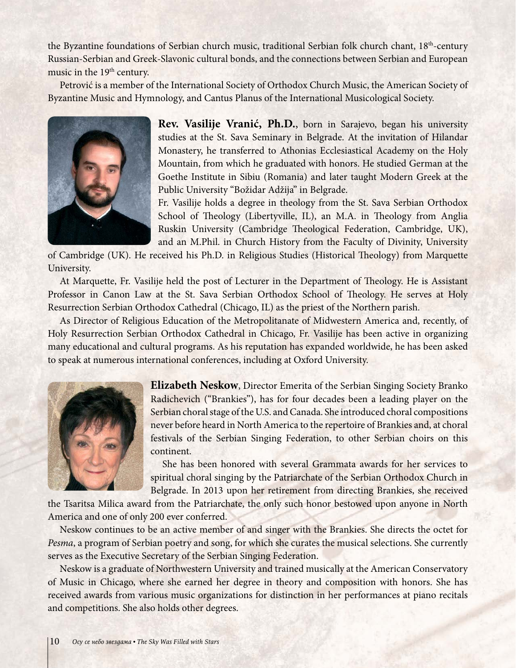the Byzantine foundations of Serbian church music, traditional Serbian folk church chant, 18<sup>th</sup>-century Russian-Serbian and Greek-Slavonic cultural bonds, and the connections between Serbian and European music in the 19<sup>th</sup> century.

Petrović is a member of the International Society of Orthodox Church Music, the American Society of Byzantine Music and Hymnology, and Cantus Planus of the International Musicological Society.



**Rev. Vasilije Vranić, Ph.D.**, born in Sarajevo, began his university studies at the St. Sava Seminary in Belgrade. At the invitation of Hilandar Monastery, he transferred to Athonias Ecclesiastical Academy on the Holy Mountain, from which he graduated with honors. He studied German at the Goethe Institute in Sibiu (Romania) and later taught Modern Greek at the Public University "Božidar Adžija" in Belgrade.

Fr. Vasilije holds a degree in theology from the St. Sava Serbian Orthodox School of Theology (Libertyville, IL), an M.A. in Theology from Anglia Ruskin University (Cambridge Theological Federation, Cambridge, UK), and an M.Phil. in Church History from the Faculty of Divinity, University

of Cambridge (UK). He received his Ph.D. in Religious Studies (Historical Theology) from Marquette University.

At Marquette, Fr. Vasilije held the post of Lecturer in the Department of Theology. He is Assistant Professor in Canon Law at the St. Sava Serbian Orthodox School of Theology. He serves at Holy Resurrection Serbian Orthodox Cathedral (Chicago, IL) as the priest of the Northern parish.

As Director of Religious Education of the Metropolitanate of Midwestern America and, recently, of Holy Resurrection Serbian Orthodox Cathedral in Chicago, Fr. Vasilije has been active in organizing many educational and cultural programs. As his reputation has expanded worldwide, he has been asked to speak at numerous international conferences, including at Oxford University.



**Elizabeth Neskow**, Director Emerita of the Serbian Singing Society Branko Radichevich ("Brankies"), has for four decades been a leading player on the Serbian choral stage of the U.S. and Canada. She introduced choral compositions never before heard in North America to the repertoire of Brankies and, at choral festivals of the Serbian Singing Federation, to other Serbian choirs on this continent.

She has been honored with several Grammata awards for her services to spiritual choral singing by the Patriarchate of the Serbian Orthodox Church in Belgrade. In 2013 upon her retirement from directing Brankies, she received

the Tsaritsa Milica award from the Patriarchate, the only such honor bestowed upon anyone in North America and one of only 200 ever conferred.

Neskow continues to be an active member of and singer with the Brankies. She directs the octet for *Pesma*, a program of Serbian poetry and song, for which she curates the musical selections. She currently serves as the Executive Secretary of the Serbian Singing Federation.

Neskow is a graduate of Northwestern University and trained musically at the American Conservatory of Music in Chicago, where she earned her degree in theory and composition with honors. She has received awards from various music organizations for distinction in her performances at piano recitals and competitions. She also holds other degrees.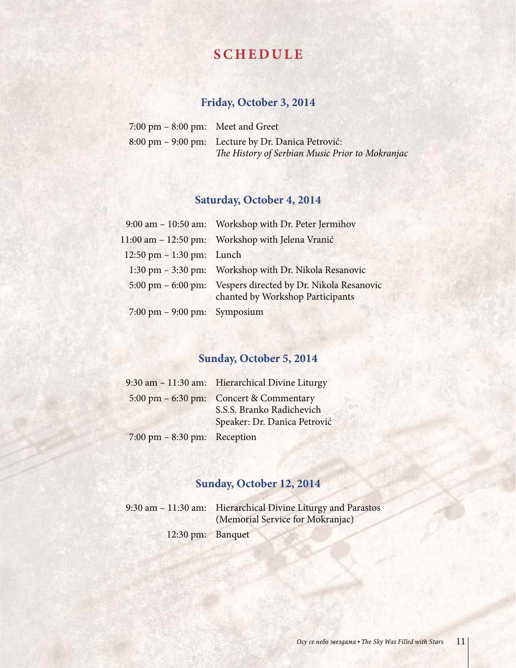# **SCHEDULE**

## **Friday, October 3, 2014**

| $7:00 \text{ pm} - 8:00 \text{ pm}$ : Meet and Greet |                                                    |
|------------------------------------------------------|----------------------------------------------------|
|                                                      | 8:00 pm – 9:00 pm: Lecture by Dr. Danica Petrović: |
|                                                      | The History of Serbian Music Prior to Mokranjac    |

# **Saturday, October 4, 2014**

|                                                 | 9:00 am - 10:50 am: Workshop with Dr. Peter Jermihov                                            |
|-------------------------------------------------|-------------------------------------------------------------------------------------------------|
|                                                 | 11:00 am – 12:50 pm: Workshop with Jelena Vranić                                                |
| 12:50 pm $- 1:30$ pm: Lunch                     |                                                                                                 |
|                                                 | 1:30 pm - 3:30 pm: Workshop with Dr. Nikola Resanovic                                           |
|                                                 | 5:00 pm - 6:00 pm: Vespers directed by Dr. Nikola Resanovic<br>chanted by Workshop Participants |
| $7:00 \text{ pm} - 9:00 \text{ pm}$ : Symposium |                                                                                                 |

## **Sunday, October 5, 2014**

|                                                 | 9:30 am - 11:30 am: Hierarchical Divine Liturgy                                                      |
|-------------------------------------------------|------------------------------------------------------------------------------------------------------|
|                                                 | 5:00 pm – 6:30 pm: Concert & Commentary<br>S.S.S. Branko Radichevich<br>Speaker: Dr. Danica Petrović |
| $7:00 \text{ pm} - 8:30 \text{ pm}$ : Reception |                                                                                                      |

# **Sunday, October 12, 2014**

|                   | 9:30 am – 11:30 am: Hierarchical Divine Liturgy and Parastos |
|-------------------|--------------------------------------------------------------|
|                   | (Memorial Service for Mokranjac)                             |
| 12:30 pm: Banquet |                                                              |